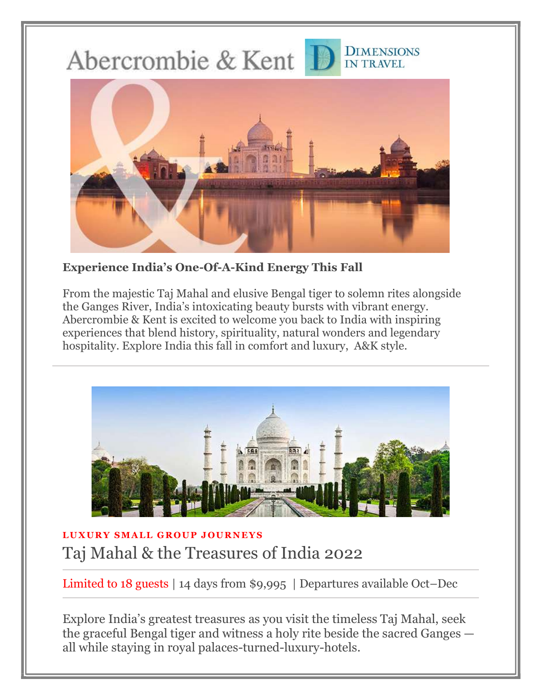Abercrombie & Kent



**DIMENSIONS** 

**IN TRAVEL** 

Experience India's One-Of-A-Kind Energy This Fall

From the majestic Taj Mahal and elusive Bengal tiger to solemn rites alongside the Ganges River, India's intoxicating beauty bursts with vibrant energy. Abercrombie & Kent is excited to welcome you back to India with inspiring experiences that blend history, spirituality, natural wonders and legendary hospitality. Explore India this fall in comfort and luxury, A&K style.



### LUXURY SMALL GROUP JOURNEYS Taj Mahal & the Treasures of India 2022

Limited to 18 guests | 14 days from \$9,995 | Departures available Oct–Dec

Explore India's greatest treasures as you visit the timeless Taj Mahal, seek the graceful Bengal tiger and witness a holy rite beside the sacred Ganges all while staying in royal palaces-turned-luxury-hotels.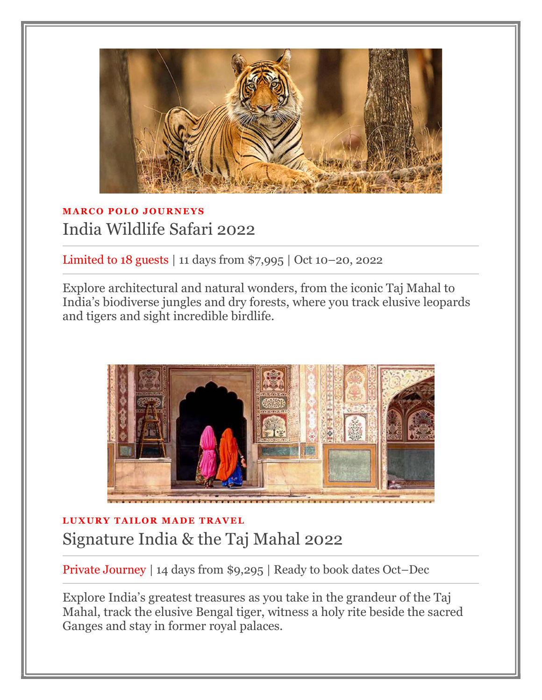

# **MARCO POLO JOURNEYS** India Wildlife Safari 2022

Limited to 18 guests | 11 days from \$7,995 | Oct 10–20, 2022

Explore architectural and natural wonders, from the iconic Taj Mahal to India's biodiverse jungles and dry forests, where you track elusive leopards and tigers and sight incredible birdlife.



# LUXURY TAILOR MADE TRAVEL Signature India & the Taj Mahal 2022

Private Journey | 14 days from \$9,295 | Ready to book dates Oct–Dec

Explore India's greatest treasures as you take in the grandeur of the Taj Mahal, track the elusive Bengal tiger, witness a holy rite beside the sacred Ganges and stay in former royal palaces.